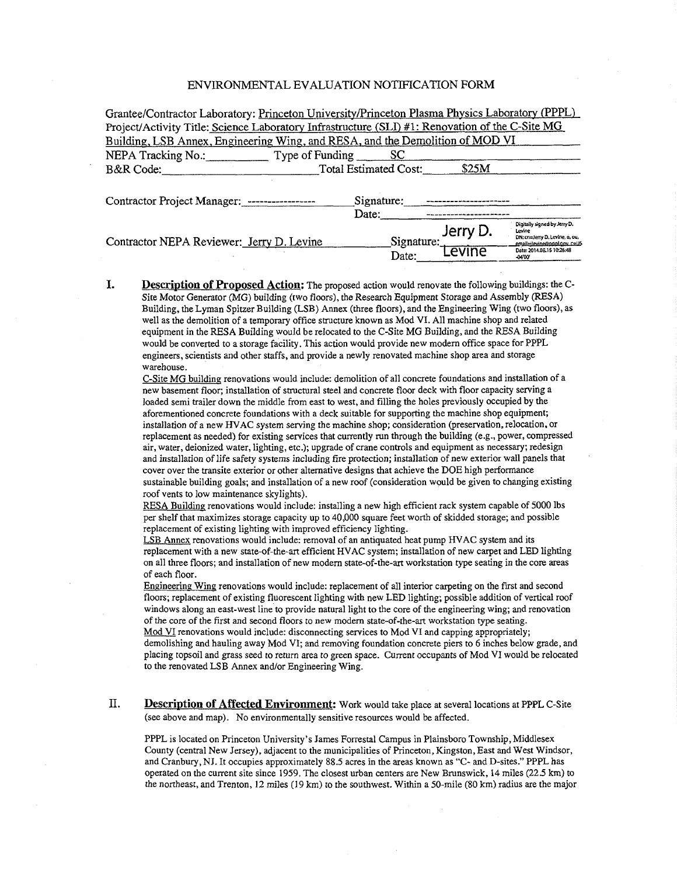## ENVIRONMENTAL EVALUATION NOTIFICATION FORM

| Grantee/Contractor Laboratory: Princeton University/Princeton Plasma Physics Laboratory (PPPL)  |                       |                     |                    |                                                                                                                                                  |
|-------------------------------------------------------------------------------------------------|-----------------------|---------------------|--------------------|--------------------------------------------------------------------------------------------------------------------------------------------------|
| Project/Activity Title: Science Laboratory Infrastructure (SLI) #1: Renovation of the C-Site MG |                       |                     |                    |                                                                                                                                                  |
| Building, LSB Annex, Engineering Wing, and RESA, and the Demolition of MOD VI                   |                       |                     |                    |                                                                                                                                                  |
| NEPA Tracking No.: Type of Funding SC                                                           |                       |                     |                    |                                                                                                                                                  |
| B&R Code:                                                                                       | Total Estimated Cost: |                     | \$25M              |                                                                                                                                                  |
| Contractor Project Manager: -----------------                                                   | Signature:<br>Date:   |                     |                    |                                                                                                                                                  |
| Contractor NEPA Reviewer: Jerry D. Levine                                                       |                       | Signature:<br>Date: | Jerry D.<br>Levine | Digitally signed by Jerry D.<br>Levine<br>DN: cn=Jerry D. Levine, o, ou,<br>email=ilevine@pppl.cov.c=US<br>Date: 2014.08.15 10:26:48<br>$-04.00$ |

**I. Description of Proposed Action:** The proposed action would renovate the following buildings: the C-Site Motor Generator (MG) building (two floors), the Research Equipment Storage and Assembly (RESA) Building, the Lyman Spitzer Building (LSB) Annex (three floors), and the Engineering Wing (two floors), as well as the demolition of a temporary office structure known as Mod VI. All machine shop and related equipment in the RESA Building would be relocated to the C-Site MG Building, and the RESA Building would be converted to a storage facility. This action would provide new modern office space for PPPL engineers, scientists and other staffs, and provide a newly renovated machine shop area and storage warehouse.

C-Site MG building renovations would include: demolition of all concrete foundations and installation of a new basement floor; installation of structural steel and concrete floor deck with floor capacity serving a loaded semi trailer down the middle from east to west, and filling the holes previously occupied by the aforementioned concrete foundations with a deck suitable for supporting the machine shop equipment; installation of a new HVAC system serving the machine shop; consideration (preservation, relocation, or replacement as needed) for existing services that currently run through the building (e.g., power, compressed air, water, deionized water, lighting, etc.); upgrade of crane controls and equipment as necessary; redesign and installation of life safety systems including fire protection; installation of new exterior wall panels that cover over the transite exterior or other alternative designs that achieve the DOE high performance sustainable building goals; and installation of a new roof (consideration would be given to changing existing roof vents to low maintenance skylights).

RESA Building renovations would include: installing a new high efficient rack system capable of 5000 lbs per shelf that maximizes storage capacity up to 40,000 square feet worth of skidded storage; and possible replacement of existing lighting with improved efficiency lighting.

LSB Annex renovations would include: removal of an antiquated heat pump HV AC system and its replacement with a new state-of-the-art efficient HV AC system; installation of new carpet and LED lighting on all three floors; and installation of new modern state-of-the-art workstation type seating in the core areas of each floor.

Engineering Wing renovations would include: replacement of all interior carpeting on the first and second floors; replacement of existing fluorescent lighting with new LED lighting; possible addition of vertical roof windows along an east-west line to provide natural light to the core of the engineering wing; and renovation of the core of the first and second floors to new modern state-of-the-art workstation type seating. Mod VI renovations would include: disconnecting services to Mod VI and capping appropriately; demolishing and hauling away Mod VI; and removing foundation concrete piers to 6 inches below grade, and placing topsoil and grass seed to return area to green space. Current occupants of Mod VI would be relocated to the renovated LSB Annex and/or Engineering Wing.

II. **Description of Affected Environment:** Work would take place at several locations at PPPL C-Site (see above and map). No environmentally sensitive resources would be affected.

PPPL is located on Princeton University's James Forrestal Campus in Plainsboro Township, Middlesex County (central New Jersey), adjacent to the municipalities of Princeton, Kingston, East and West Windsor, and Cranbury, NJ. It occupies approximately 88.5 acres in the areas known as "C- and D-sites." PPPL has operated on the current site since 1959. The closest urban centers are New Brunswick, 14 miles (22.5 km) to the northeast, and Trenton, 12 miles (19 km) to the southwest. Within a 50-mile (80 km) radius are the major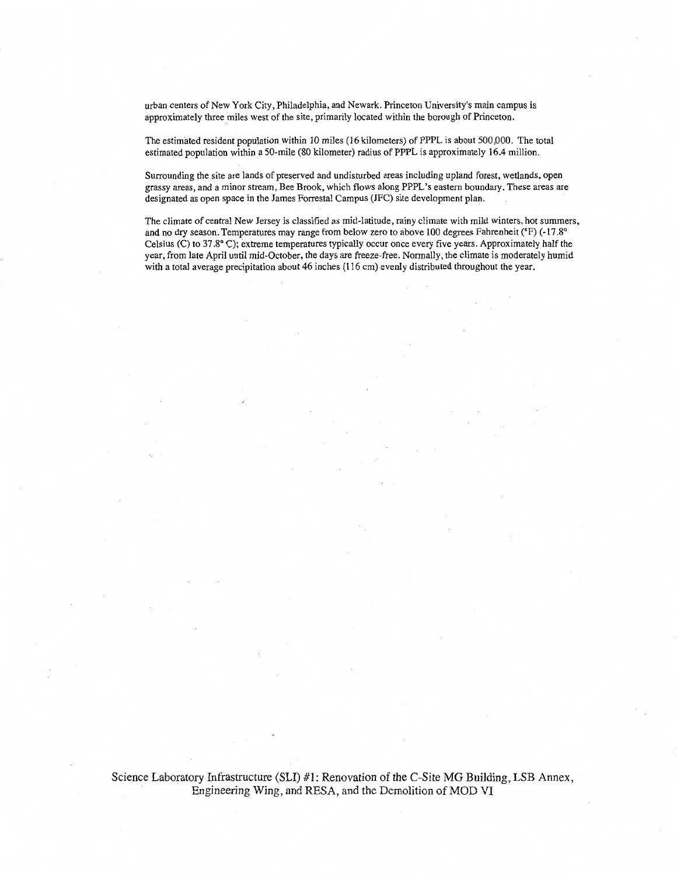urban centers of New York City, Philadelphia, and Newark. Princeton University's main campus is approximately three miles west of the site, primarily located within the borough of Princeton.

The estimated resident population within 10 miles (16 kilometers) of PPPL is about 500,000. The total estimated population within a 50-mile (80 kilometer) radius of PPPL is approximately 16.4 million.

Surrounding the site are lands of preserved and undisturbed areas including upland forest, wetlands, open grassy areas, and a minor stream, Bee Brook, which flows along PPPL's eastern boundary. These areas are designated as open space in the James Forrestal Campus (JFC) site development plan.

The climate of central New Jersey is classified as mid-latitude, rainy climate with mild winters, hot summers, and no dry season. Temperatures may range from below zero to above 100 degrees Fahrenheit (°F) (-17 .8° Celsius (C) to 37.8° C); extreme temperatures typically occur once every five years. Approximately half the year, from late April until mid-October, the days are freeze-free. Normally, the climate is moderately humid with a total average precipitation about 46 inches (116 em) evenly distributed throughout the year.

Science Laboratory Infrastructure (SLI) #1: Renovation of the C-Site MG Building, LSB Annex, Engineering Wing, and RESA, and the Demolition of MOD VI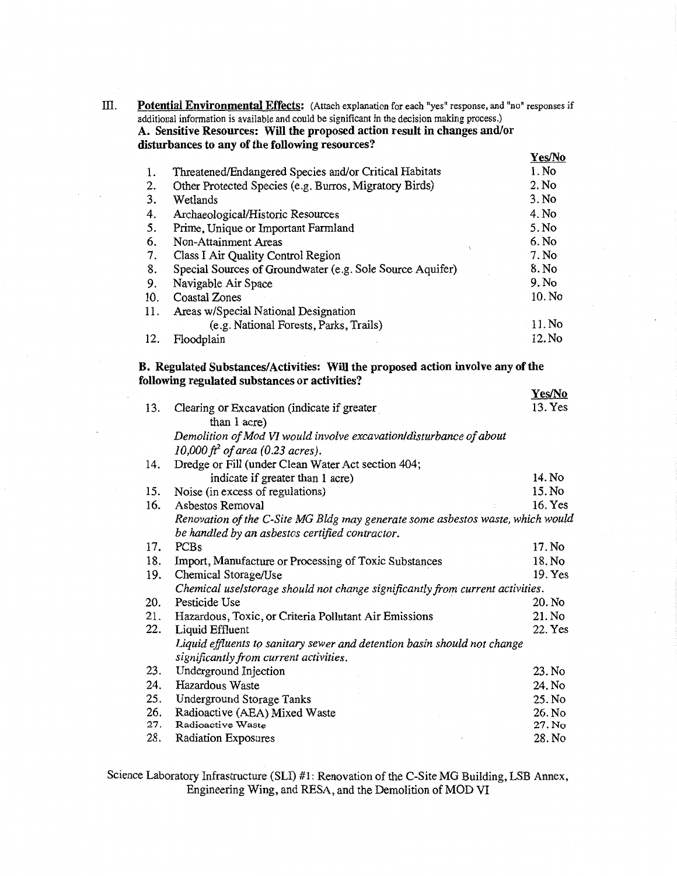III. Potential Environmental Effects: (Attach explanation for each "yes" response, and "no" responses if additional information is available and could be significant in the decision making process.)

A. Sensitive Resources: Will the proposed action result in changes and/or disturbances to any of the following resources?

|     |                                                           | Yes/No |
|-----|-----------------------------------------------------------|--------|
| 1.  | Threatened/Endangered Species and/or Critical Habitats    | 1. No  |
| 2.  | Other Protected Species (e.g. Burros, Migratory Birds)    | 2. No  |
| 3.  | Wetlands                                                  | 3. No  |
| 4.  | Archaeological/Historic Resources                         | 4. No  |
| 5.  | Prime, Unique or Important Farmland                       | 5. No  |
| 6.  | Non-Attainment Areas                                      | 6. No  |
| 7.  | Class I Air Quality Control Region                        | 7. No  |
| 8.  | Special Sources of Groundwater (e.g. Sole Source Aquifer) | 8. No  |
| 9.  | Navigable Air Space                                       | 9. No  |
| 10. | Coastal Zones                                             | 10. No |
| 11. | Areas w/Special National Designation                      |        |
|     | (e.g. National Forests, Parks, Trails)                    | 11. No |
| 12. | Floodplain                                                | 12. No |

B. Regulated Substances/Activities: Will the proposed action involve any of the following regulated substances or activities?

|     |                                                                                | Yes/No  |
|-----|--------------------------------------------------------------------------------|---------|
| 13. | Clearing or Excavation (indicate if greater                                    | 13. Yes |
|     | than 1 acre)                                                                   |         |
|     | Demolition of Mod VI would involve excavation/disturbance of about             |         |
|     | 10,000 $ft^2$ of area (0.23 acres).                                            |         |
| 14. | Dredge or Fill (under Clean Water Act section 404;                             |         |
|     | indicate if greater than 1 acre)                                               | 14. No  |
| 15. | Noise (in excess of regulations)                                               | 15. No  |
| 16. | Asbestos Removal                                                               | 16. Yes |
|     | Renovation of the C-Site MG Bldg may generate some asbestos waste, which would |         |
|     | be handled by an asbestos certified contractor.                                |         |
| 17. | <b>PCBs</b>                                                                    | 17. No  |
| 18. | Import, Manufacture or Processing of Toxic Substances                          | 18. No  |
| 19. | Chemical Storage/Use                                                           | 19. Yes |
|     | Chemical uselstorage should not change significantly from current activities.  |         |
| 20. | Pesticide Use                                                                  | 20. No  |
| 21. | Hazardous, Toxic, or Criteria Pollutant Air Emissions                          | 21. No  |
| 22. | Liquid Effluent                                                                | 22. Yes |
|     | Liquid effluents to sanitary sewer and detention basin should not change       |         |
|     | significantly from current activities.                                         |         |
| 23. | Underground Injection                                                          | 23. No  |
| 24. | Hazardous Waste                                                                | 24. No  |
| 25. | <b>Underground Storage Tanks</b>                                               | 25. No  |
| 26. | Radioactive (AEA) Mixed Waste                                                  | 26. No  |
| 27. | Radioactive Waste                                                              | 27. No  |
| 28. | Radiation Exposures                                                            | 28. No  |

Science Laboratory Infrastructure (SLI) #1: Renovation of the C-Site MG Building, LSB Annex, Engineering Wing, and RESA, and the Demolition of MOD VI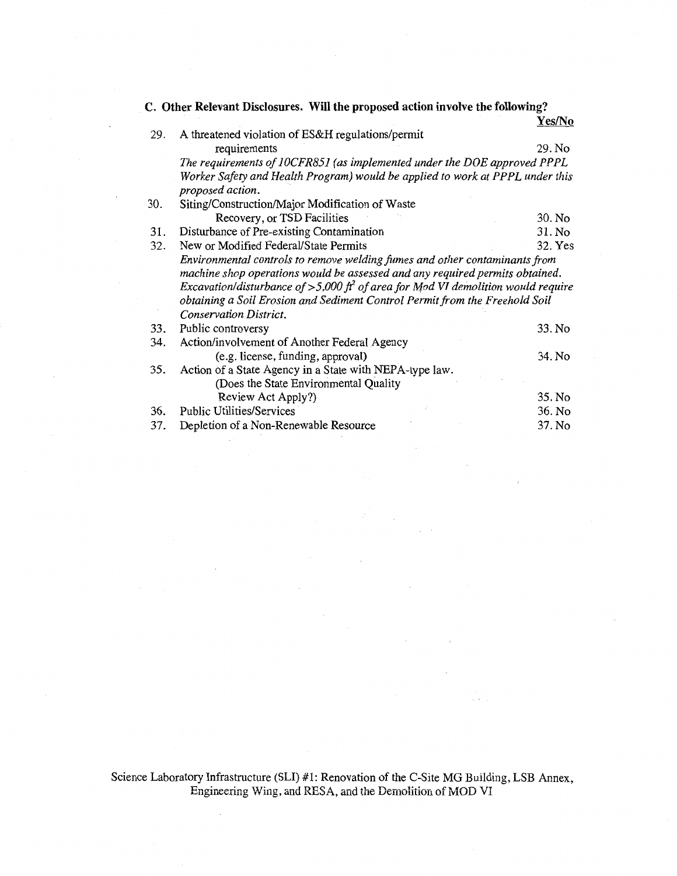**C. Other Relevant Disclosures. Will the proposed action involve the following?** 

 $\overline{a}$ 

|     |                                                                                     | Yes/No  |
|-----|-------------------------------------------------------------------------------------|---------|
| 29. | A threatened violation of ES&H regulations/permit                                   |         |
|     | requirements                                                                        | 29. No  |
|     | The requirements of 10CFR851 (as implemented under the DOE approved PPPL            |         |
|     | Worker Safety and Health Program) would be applied to work at PPPL under this       |         |
|     | proposed action.                                                                    |         |
| 30. | Siting/Construction/Major Modification of Waste                                     |         |
|     | Recovery, or TSD Facilities                                                         | 30. No  |
| 31. | Disturbance of Pre-existing Contamination                                           | 31. No  |
| 32. | New or Modified Federal/State Permits                                               | 32. Yes |
|     | Environmental controls to remove welding fumes and other contaminants from          |         |
|     | machine shop operations would be assessed and any required permits obtained.        |         |
|     | Excavation/disturbance of >5,000 $ft^2$ of area for Mod VI demolition would require |         |
|     | obtaining a Soil Erosion and Sediment Control Permit from the Freehold Soil         |         |
|     | Conservation District.                                                              |         |
| 33. | Public controversy                                                                  | 33. No  |
| 34. | Action/involvement of Another Federal Agency                                        |         |
|     | (e.g. license, funding, approval)                                                   | 34. No  |
| 35. | Action of a State Agency in a State with NEPA-type law.                             |         |
|     | (Does the State Environmental Quality                                               |         |
|     | Review Act Apply?)                                                                  | 35. No  |
| 36. | <b>Public Utilities/Services</b>                                                    | 36. No  |
| 37. | Depletion of a Non-Renewable Resource                                               | 37. No  |

Science Laboratory Infrastructure (SLI) #1: Renovation of the C-Site MG Building, LSB Annex, Engineering Wing, and RESA, and the Demolition of MOD VI

 $\sim$ 

 $\mathbb{Z}^2$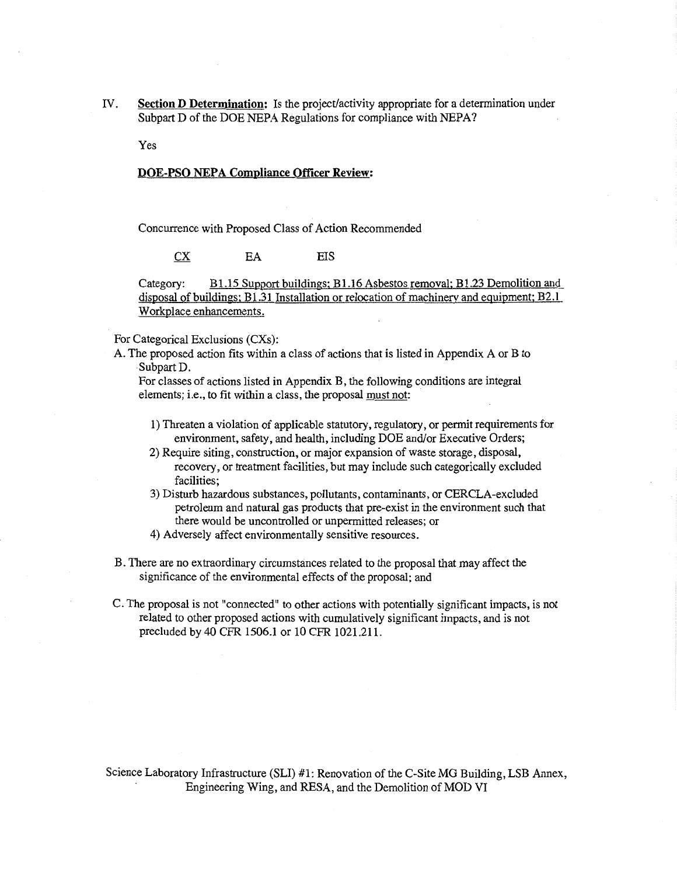IV. **Section D Determination:** Is the project/activity appropriate for a determination under Subpart D of the DOE NEPA Regulations for compliance with NEPA?

Yes

## **DOE-PSO NEPA Compliance Officer Review:**

Concurrence with Proposed Class of Action Recommended

EA EIS  $CX$ 

Category: Bl.l5 Support buildings; Bl.l6 Asbestos removal; Bl.23 Demolition and disposal of buildings; B1.31 Installation or relocation of machinery and equipment; B2.1 Workplace enhancements.

For Categorical Exclusions (CXs):

A. The proposed action fits within a class of actions that is listed in Appendix A or B to ·Subpart D.

For classes of actions listed in Appendix B, the following conditions are integral elements; i.e., to fit within a class, the proposal must not:

- 1) Threaten a violation of applicable statutory, regulatory, or permit requirements for environment, safety, and health, including DOE and/or Executive Orders;
- 2) Require siting, construction, or major expansion of waste storage, disposal, recovery, or treatment facilities, but may include such categorically excluded facilities;
- 3) Disturb hazardous substances, pollutants, contaminants, or CERCLA-excluded petroleum and natural gas products that pre-exist in the environment such that there would be uncontrolled or unpermitted releases; or
- 4) Adversely affect environmentally sensitive resources.
- B. There are no extraordinary circumstances related to the proposal that may affect the significance of the environmental effects of the proposal; and
- C. The proposal is not "connected" to other actions with potentially significant impacts, is not related to other proposed actions with cumulatively significant impacts, and is not precluded by 40 CPR 1506.1 or 10 CPR 1021.211.

Science Laboratory Infrastructure (SLI) #1: Renovation of the C-Site MG Building, LSB Annex, Engineering Wing, and RESA, and the Demolition of MOD VI